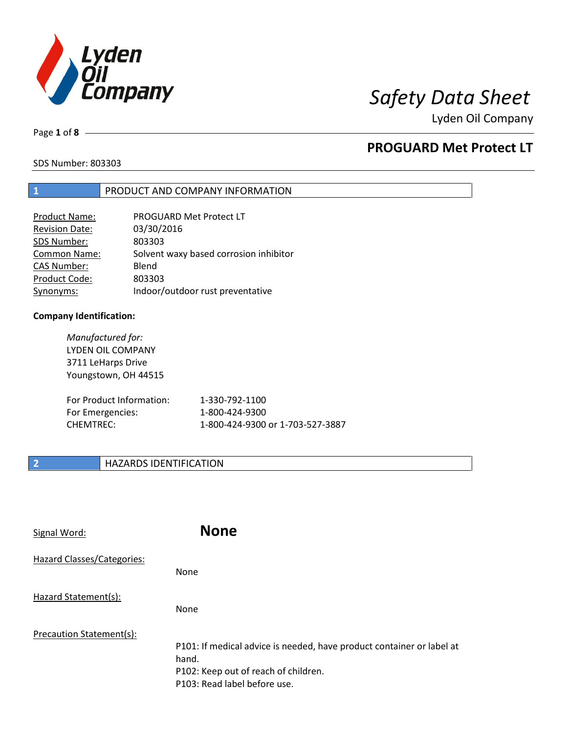

Lyden Oil Company

Page **1** of **8**

## **PROGUARD Met Protect LT**

SDS Number: 803303

### **1** PRODUCT AND COMPANY INFORMATION

| PROGUARD Met Protect LT                |
|----------------------------------------|
| 03/30/2016                             |
| 803303                                 |
| Solvent waxy based corrosion inhibitor |
| Blend                                  |
| 803303                                 |
| Indoor/outdoor rust preventative       |
|                                        |

### **Company Identification:**

*Manufactured for:* LYDEN OIL COMPANY 3711 LeHarps Drive Youngstown, OH 44515 For Product Information: 1-330-792-1100 For Emergencies: 1-800-424-9300 CHEMTREC: 1-800-424-9300 or 1-703-527-3887

## **2 HAZARDS IDENTIFICATION**

| Signal Word:               | <b>None</b>                                                                                                                                            |
|----------------------------|--------------------------------------------------------------------------------------------------------------------------------------------------------|
| Hazard Classes/Categories: | <b>None</b>                                                                                                                                            |
| Hazard Statement(s):       | <b>None</b>                                                                                                                                            |
| Precaution Statement(s):   | P101: If medical advice is needed, have product container or label at<br>hand.<br>P102: Keep out of reach of children.<br>P103: Read label before use. |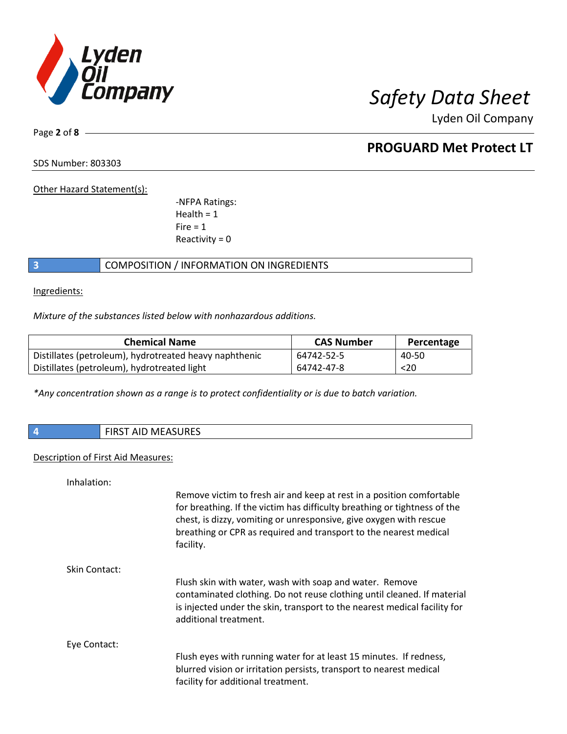

Lyden Oil Company

Page **2** of **8**

## **PROGUARD Met Protect LT**

SDS Number: 803303

Other Hazard Statement(s):

-NFPA Ratings:  $Health = 1$  $Fire = 1$ Reactivity  $= 0$ 

## **3** COMPOSITION / INFORMATION ON INGREDIENTS

Ingredients:

*Mixture of the substances listed below with nonhazardous additions.*

| <b>Chemical Name</b>                                   | <b>CAS Number</b> | Percentage |
|--------------------------------------------------------|-------------------|------------|
| Distillates (petroleum), hydrotreated heavy naphthenic | 64742-52-5        | 40-50      |
| Distillates (petroleum), hydrotreated light            | 64742-47-8        | $20$       |

*\*Any concentration shown as a range is to protect confidentiality or is due to batch variation.*

**4** FIRST AID MEASURES

### Description of First Aid Measures:

Inhalation:

|               | Remove victim to fresh air and keep at rest in a position comfortable<br>for breathing. If the victim has difficulty breathing or tightness of the<br>chest, is dizzy, vomiting or unresponsive, give oxygen with rescue<br>breathing or CPR as required and transport to the nearest medical<br>facility. |
|---------------|------------------------------------------------------------------------------------------------------------------------------------------------------------------------------------------------------------------------------------------------------------------------------------------------------------|
| Skin Contact: |                                                                                                                                                                                                                                                                                                            |
|               | Flush skin with water, wash with soap and water. Remove                                                                                                                                                                                                                                                    |
|               | contaminated clothing. Do not reuse clothing until cleaned. If material                                                                                                                                                                                                                                    |
|               | is injected under the skin, transport to the nearest medical facility for<br>additional treatment.                                                                                                                                                                                                         |
|               |                                                                                                                                                                                                                                                                                                            |
| Eye Contact:  |                                                                                                                                                                                                                                                                                                            |
|               | Flush eyes with running water for at least 15 minutes. If redness,                                                                                                                                                                                                                                         |
|               | blurred vision or irritation persists, transport to nearest medical<br>facility for additional treatment.                                                                                                                                                                                                  |
|               |                                                                                                                                                                                                                                                                                                            |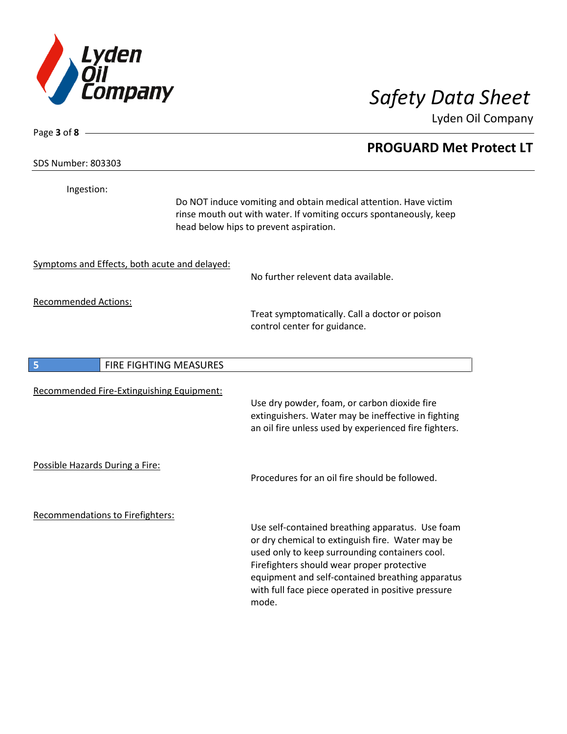

Lyden Oil Company

SDS Number: 803303

Page **3** of **8**

Ingestion:

Do NOT induce vomiting and obtain medical attention. Have victim rinse mouth out with water. If vomiting occurs spontaneously, keep head below hips to prevent aspiration.

Symptoms and Effects, both acute and delayed:

No further relevent data available.

Recommended Actions:

Treat symptomatically. Call a doctor or poison control center for guidance.

| 5                               | <b>FIRE FIGHTING MEASURES</b>             |                                                                                                                                                                                                                                                                                                                         |
|---------------------------------|-------------------------------------------|-------------------------------------------------------------------------------------------------------------------------------------------------------------------------------------------------------------------------------------------------------------------------------------------------------------------------|
|                                 | Recommended Fire-Extinguishing Equipment: | Use dry powder, foam, or carbon dioxide fire<br>extinguishers. Water may be ineffective in fighting<br>an oil fire unless used by experienced fire fighters.                                                                                                                                                            |
| Possible Hazards During a Fire: |                                           | Procedures for an oil fire should be followed.                                                                                                                                                                                                                                                                          |
|                                 | Recommendations to Firefighters:          | Use self-contained breathing apparatus. Use foam<br>or dry chemical to extinguish fire. Water may be<br>used only to keep surrounding containers cool.<br>Firefighters should wear proper protective<br>equipment and self-contained breathing apparatus<br>with full face piece operated in positive pressure<br>mode. |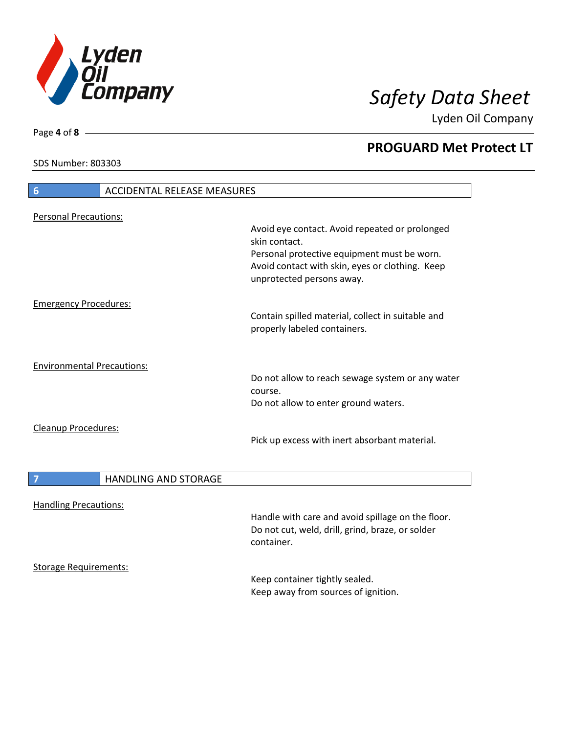

Lyden Oil Company

SDS Number: 803303

## **6** ACCIDENTAL RELEASE MEASURES Personal Precautions: Avoid eye contact. Avoid repeated or prolonged skin contact. Personal protective equipment must be worn. Avoid contact with skin, eyes or clothing. Keep unprotected persons away. Emergency Procedures: Contain spilled material, collect in suitable and properly labeled containers. Environmental Precautions: Do not allow to reach sewage system or any water course. Do not allow to enter ground waters. Cleanup Procedures: Pick up excess with inert absorbant material. **7 HANDLING AND STORAGE** Handling Precautions: Handle with care and avoid spillage on the floor. Do not cut, weld, drill, grind, braze, or solder container. Storage Requirements: Keep container tightly sealed. Keep away from sources of ignition.

Page **4** of **8**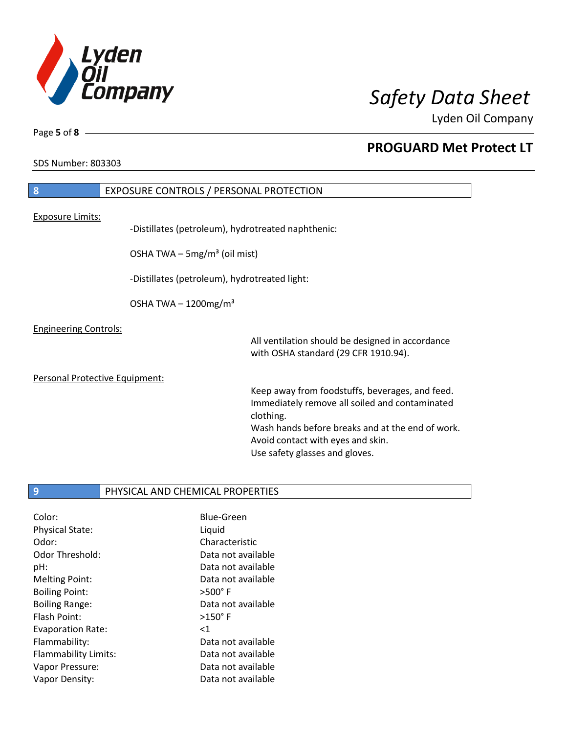

Lyden Oil Company

SDS Number: 803303

Page **5** of **8**

## **8** EXPOSURE CONTROLS / PERSONAL PROTECTION Exposure Limits: -Distillates (petroleum), hydrotreated naphthenic: OSHA TWA  $-$  5mg/m<sup>3</sup> (oil mist) -Distillates (petroleum), hydrotreated light: OSHA TWA  $-1200$ mg/m<sup>3</sup> Engineering Controls: All ventilation should be designed in accordance with OSHA standard (29 CFR 1910.94). Personal Protective Equipment: Keep away from foodstuffs, beverages, and feed. Immediately remove all soiled and contaminated clothing. Wash hands before breaks and at the end of work. Avoid contact with eyes and skin.

Use safety glasses and gloves.

## **9** PHYSICAL AND CHEMICAL PROPERTIES

Color: Blue-Green Physical State: Liquid Odor: Characteristic Odor Threshold: Data not available pH: Data not available Melting Point: Data not available Boiling Point: >500° F Boiling Range: Data not available Flash Point: >150° F Evaporation Rate: <1 Flammability: Data not available Flammability Limits: Data not available Vapor Pressure: Data not available Vapor Density: Data not available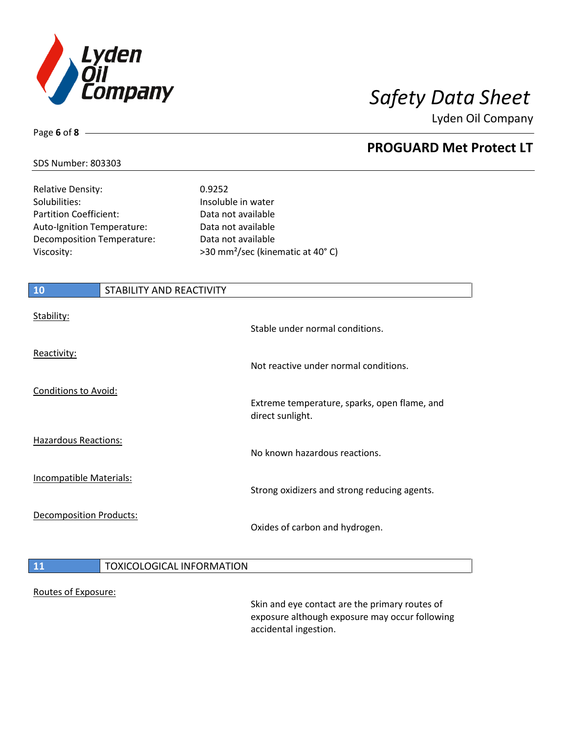

Lyden Oil Company

### SDS Number: 803303

Page **6** of **8**

| <b>Relative Density:</b>   |
|----------------------------|
| Solubilities:              |
| Partition Coefficient:     |
| Auto-Ignition Temperature: |
| Decomposition Temperature: |
| Viscosity:                 |

0.9252 Insoluble in water Data not available Data not available Data not available >30 mm<sup>2</sup>/sec (kinematic at 40°C)

# **10** STABILITY AND REACTIVITY Stability: Stable under normal conditions. Reactivity: Not reactive under normal conditions. Conditions to Avoid: Extreme temperature, sparks, open flame, and direct sunlight. Hazardous Reactions: No known hazardous reactions. Incompatible Materials: Strong oxidizers and strong reducing agents. Decomposition Products: Oxides of carbon and hydrogen. **11** TOXICOLOGICAL INFORMATION Routes of Exposure:

Skin and eye contact are the primary routes of exposure although exposure may occur following accidental ingestion.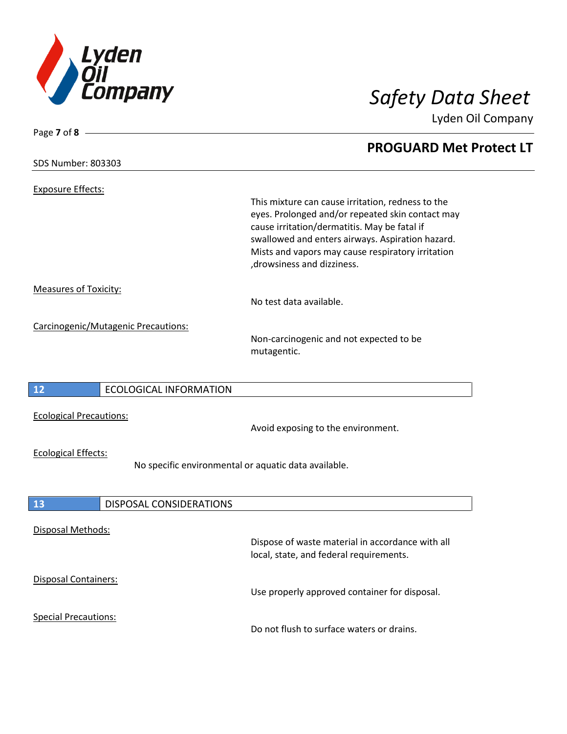

Lyden Oil Company

| Page 7 of 8 $-$                |                                     |                                                                                                                                                                                                                                                                                               |
|--------------------------------|-------------------------------------|-----------------------------------------------------------------------------------------------------------------------------------------------------------------------------------------------------------------------------------------------------------------------------------------------|
|                                |                                     | <b>PROGUARD Met Protect LT</b>                                                                                                                                                                                                                                                                |
| <b>SDS Number: 803303</b>      |                                     |                                                                                                                                                                                                                                                                                               |
| <b>Exposure Effects:</b>       |                                     | This mixture can cause irritation, redness to the<br>eyes. Prolonged and/or repeated skin contact may<br>cause irritation/dermatitis. May be fatal if<br>swallowed and enters airways. Aspiration hazard.<br>Mists and vapors may cause respiratory irritation<br>, drowsiness and dizziness. |
| <b>Measures of Toxicity:</b>   |                                     | No test data available.                                                                                                                                                                                                                                                                       |
|                                | Carcinogenic/Mutagenic Precautions: | Non-carcinogenic and not expected to be<br>mutagentic.                                                                                                                                                                                                                                        |
| 12                             | <b>ECOLOGICAL INFORMATION</b>       |                                                                                                                                                                                                                                                                                               |
| <b>Ecological Precautions:</b> |                                     | Avoid exposing to the environment.                                                                                                                                                                                                                                                            |
| <b>Ecological Effects:</b>     |                                     | No specific environmental or aquatic data available.                                                                                                                                                                                                                                          |
| 13                             | DISPOSAL CONSIDERATIONS             |                                                                                                                                                                                                                                                                                               |
| Disposal Methods:              |                                     | Dispose of waste material in accordance with all<br>local, state, and federal requirements.                                                                                                                                                                                                   |
| Disposal Containers:           |                                     | Use properly approved container for disposal.                                                                                                                                                                                                                                                 |
| <b>Special Precautions:</b>    |                                     | Do not flush to surface waters or drains.                                                                                                                                                                                                                                                     |